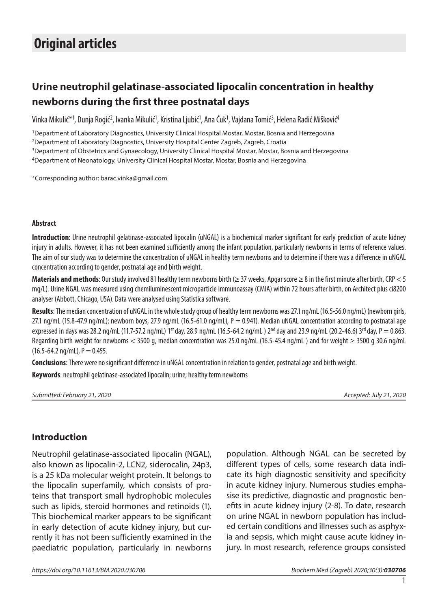# **Original articles**

## **Urine neutrophil gelatinase-associated lipocalin concentration in healthy newborns during the first three postnatal days**

Vinka Mikulić\*<sup>1</sup>, Dunja Rogić<sup>2</sup>, Ivanka Mikulić<sup>1</sup>, Kristina Ljubić<sup>1</sup>, Ana Ćuk<sup>1</sup>, Vajdana Tomić<sup>3</sup>, Helena Radić Mišković<sup>4</sup>

1Department of Laboratory Diagnostics, University Clinical Hospital Mostar, Mostar, Bosnia and Herzegovina 2Department of Laboratory Diagnostics, University Hospital Center Zagreb, Zagreb, Croatia 3Department of Obstetrics and Gynaecology, University Clinical Hospital Mostar, Mostar, Bosnia and Herzegovina 4Department of Neonatology, University Clinical Hospital Mostar, Mostar, Bosnia and Herzegovina

\*Corresponding author: barac.vinka@gmail.com

#### **Abstract**

**Introduction**: Urine neutrophil gelatinase-associated lipocalin (uNGAL) is a biochemical marker significant for early prediction of acute kidney injury in adults. However, it has not been examined sufficiently among the infant population, particularly newborns in terms of reference values. The aim of our study was to determine the concentration of uNGAL in healthy term newborns and to determine if there was a difference in uNGAL concentration according to gender, postnatal age and birth weight.

Materials and methods: Our study involved 81 healthy term newborns birth (≥ 37 weeks, Apgar score ≥ 8 in the first minute after birth, CRP < 5 mg/L). Urine NGAL was measured using chemiluminescent microparticle immunoassay (CMIA) within 72 hours after birth, on Architect plus ci8200 analyser (Abbott, Chicago, USA). Data were analysed using Statistica software.

**Results**: The median concentration of uNGAL in the whole study group of healthy term newborns was 27.1 ng/mL (16.5-56.0 ng/mL) (newborn girls, 27.1 ng/mL (15.8-47.9 ng/mL); newborn boys, 27.9 ng/mL (16.5-61.0 ng/mL),  $P = 0.941$ ). Median uNGAL concentration according to postnatal age expressed in days was 28.2 ng/mL (11.7-57.2 ng/mL) 1<sup>st</sup> day, 28.9 ng/mL (16.5-64.2 ng/mL) 2<sup>nd</sup> day and 23.9 ng/mL (20.2-46.6) 3<sup>rd</sup> day, P = 0.863. Regarding birth weight for newborns < 3500 g, median concentration was 25.0 ng/mL (16.5-45.4 ng/mL ) and for weight ≥ 3500 g 30.6 ng/mL  $(16.5-64.2 \text{ ng/mL})$ , P = 0.455.

**Conclusions**: There were no significant difference in uNGAL concentration in relation to gender, postnatal age and birth weight.

**Keywords**: neutrophil gelatinase-associated lipocalin; urine; healthy term newborns

*Submitted: February 21, 2020 Accepted: July 21, 2020*

#### **Introduction**

Neutrophil gelatinase-associated lipocalin (NGAL), also known as lipocalin-2, LCN2, siderocalin, 24p3, is a 25 kDa molecular weight protein. It belongs to the lipocalin superfamily, which consists of proteins that transport small hydrophobic molecules such as lipids, steroid hormones and retinoids (1). This biochemical marker appears to be significant in early detection of acute kidney injury, but currently it has not been sufficiently examined in the paediatric population, particularly in newborns

population. Although NGAL can be secreted by different types of cells, some research data indicate its high diagnostic sensitivity and specificity in acute kidney injury. Numerous studies emphasise its predictive, diagnostic and prognostic benefits in acute kidney injury (2-8). To date, research on urine NGAL in newborn population has included certain conditions and illnesses such as asphyxia and sepsis, which might cause acute kidney injury. In most research, reference groups consisted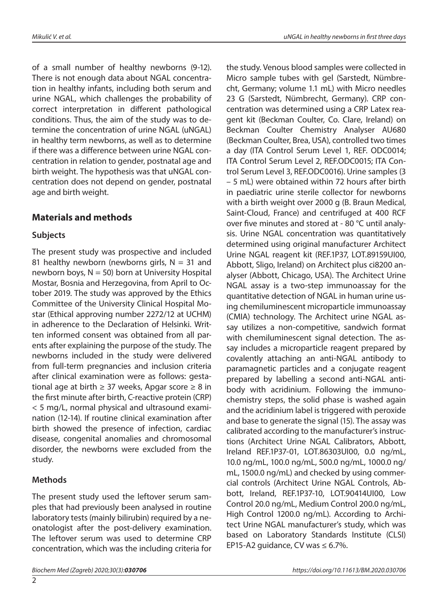of a small number of healthy newborns (9-12). There is not enough data about NGAL concentration in healthy infants, including both serum and urine NGAL, which challenges the probability of correct interpretation in different pathological conditions. Thus, the aim of the study was to determine the concentration of urine NGAL (uNGAL) in healthy term newborns, as well as to determine if there was a difference between urine NGAL concentration in relation to gender, postnatal age and birth weight. The hypothesis was that uNGAL concentration does not depend on gender, postnatal age and birth weight.

## **Materials and methods**

#### **Subjects**

The present study was prospective and included 81 healthy newborn (newborns girls,  $N = 31$  and newborn boys,  $N = 50$ ) born at University Hospital Mostar, Bosnia and Herzegovina, from April to October 2019. The study was approved by the Ethics Committee of the University Clinical Hospital Mostar (Ethical approving number 2272/12 at UCHM) in adherence to the Declaration of Helsinki. Written informed consent was obtained from all parents after explaining the purpose of the study. The newborns included in the study were delivered from full-term pregnancies and inclusion criteria after clinical examination were as follows: gestational age at birth  $\geq$  37 weeks, Apgar score  $\geq$  8 in the first minute after birth, C-reactive protein (CRP) < 5 mg/L, normal physical and ultrasound examination (12-14). If routine clinical examination after birth showed the presence of infection, cardiac disease, congenital anomalies and chromosomal disorder, the newborns were excluded from the study.

## **Methods**

The present study used the leftover serum samples that had previously been analysed in routine laboratory tests (mainly bilirubin) required by a neonatologist after the post-delivery examination. The leftover serum was used to determine CRP concentration, which was the including criteria for

the study. Venous blood samples were collected in Micro sample tubes with gel (Sarstedt, Nümbrecht, Germany; volume 1.1 mL) with Micro needles 23 G (Sarstedt, Nümbrecht, Germany). CRP concentration was determined using a CRP Latex reagent kit (Beckman Coulter, Co. Clare, Ireland) on Beckman Coulter Chemistry Analyser AU680 (Beckman Coulter, Brea, USA), controlled two times a day (ITA Control Serum Level 1, REF. ODC0014; ITA Control Serum Level 2, REF.ODC0015; ITA Control Serum Level 3, REF.ODC0016). Urine samples (3 – 5 mL) were obtained within 72 hours after birth in paediatric urine sterile collector for newborns with a birth weight over 2000 g (B. Braun Medical, Saint-Cloud, France) and centrifuged at 400 RCF over five minutes and stored at - 80 °C until analysis. Urine NGAL concentration was quantitatively determined using original manufacturer Architect Urine NGAL reagent kit (REF.1P37, LOT.89159UI00, Abbott, Sligo, Ireland) on Architect plus ci8200 analyser (Abbott, Chicago, USA). The Architect Urine NGAL assay is a two-step immunoassay for the quantitative detection of NGAL in human urine using chemiluminescent microparticle immunoassay (CMIA) technology. The Architect urine NGAL assay utilizes a non-competitive, sandwich format with chemiluminescent signal detection. The assay includes a microparticle reagent prepared by covalently attaching an anti-NGAL antibody to paramagnetic particles and a conjugate reagent prepared by labelling a second anti-NGAL antibody with acridinium. Following the immunochemistry steps, the solid phase is washed again and the acridinium label is triggered with peroxide and base to generate the signal (15). The assay was calibrated according to the manufacturer's instructions (Architect Urine NGAL Calibrators, Abbott, Ireland REF.1P37-01, LOT.86303UI00, 0.0 ng/mL, 10.0 ng/mL, 100.0 ng/mL, 500.0 ng/mL, 1000.0 ng/ mL, 1500.0 ng/mL) and checked by using commercial controls (Architect Urine NGAL Controls, Abbott, Ireland, REF.1P37-10, LOT.90414UI00, Low Control 20.0 ng/mL, Medium Control 200.0 ng/mL, High Control 1200.0 ng/mL). According to Architect Urine NGAL manufacturer's study, which was based on Laboratory Standards Institute (CLSI) EP15-A2 guidance, CV was  $\leq 6.7\%$ .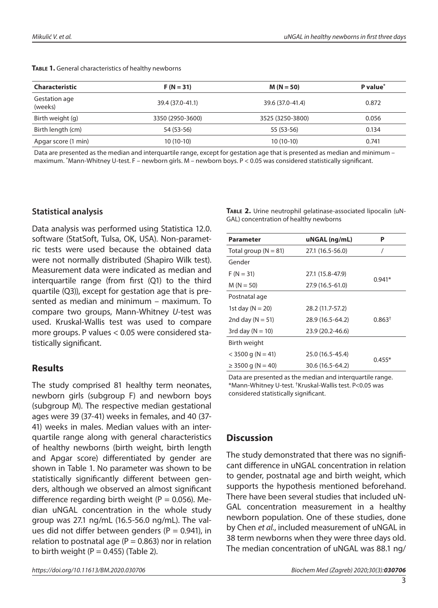| <b>Characteristic</b>    | $F(N = 31)$      | $M(N = 50)$      | P value <sup>*</sup> |
|--------------------------|------------------|------------------|----------------------|
| Gestation age<br>(weeks) | 39.4 (37.0-41.1) | 39.6 (37.0-41.4) | 0.872                |
| Birth weight (g)         | 3350 (2950-3600) | 3525 (3250-3800) | 0.056                |
| Birth length (cm)        | 54 (53-56)       | 55 (53-56)       | 0.134                |
| Apgar score (1 min)      | $10(10-10)$      | $10(10-10)$      | 0.741                |

TABLE 1. General characteristics of healthy newborns

Data are presented as the median and interquartile range, except for gestation age that is presented as median and minimum – maximum. \* Mann-Whitney U-test. F – newborn girls. M – newborn boys. P < 0.05 was considered statistically significant.

#### **Statistical analysis**

Data analysis was performed using Statistica 12.0. software (StatSoft, Tulsa, OK, USA). Non-parametric tests were used because the obtained data were not normally distributed (Shapiro Wilk test). Measurement data were indicated as median and interquartile range (from first (Q1) to the third quartile (Q3)), except for gestation age that is presented as median and minimum – maximum. To compare two groups, Mann-Whitney *U*-test was used. Kruskal-Wallis test was used to compare more groups. P values < 0.05 were considered statistically significant.

## **Results**

The study comprised 81 healthy term neonates, newborn girls (subgroup F) and newborn boys (subgroup M). The respective median gestational ages were 39 (37-41) weeks in females, and 40 (37- 41) weeks in males. Median values with an interquartile range along with general characteristics of healthy newborns (birth weight, birth length and Apgar score) differentiated by gender are shown in Table 1. No parameter was shown to be statistically significantly different between genders, although we observed an almost significant difference regarding birth weight ( $P = 0.056$ ). Median uNGAL concentration in the whole study group was 27.1 ng/mL (16.5-56.0 ng/mL). The values did not differ between genders ( $P = 0.941$ ), in relation to postnatal age ( $P = 0.863$ ) nor in relation to birth weight ( $P = 0.455$ ) (Table 2).

**Table 2.** Urine neutrophil gelatinase-associated lipocalin (uN-GAL) concentration of healthy newborns

| <b>Parameter</b>         | uNGAL (ng/mL)    | Ρ                  |  |
|--------------------------|------------------|--------------------|--|
| Total group ( $N = 81$ ) | 27.1 (16.5-56.0) | 7                  |  |
| Gender                   |                  |                    |  |
| $F(N = 31)$              | 27.1 (15.8-47.9) | $0.941*$           |  |
| $M(N = 50)$              | 27.9 (16.5-61.0) |                    |  |
| Postnatal age            |                  |                    |  |
| 1st day ( $N = 20$ )     | 28.2 (11.7-57.2) |                    |  |
| 2nd day ( $N = 51$ )     | 28.9 (16.5-64.2) | 0.863 <sup>†</sup> |  |
| 3rd day ( $N = 10$ )     | 23.9 (20.2-46.6) |                    |  |
| Birth weight             |                  |                    |  |
| $<$ 3500 g (N = 41)      | 25.0 (16.5-45.4) |                    |  |
| $\geq$ 3500 g (N = 40)   | 30.6 (16.5-64.2) | $0.455*$           |  |

Data are presented as the median and interquartile range. \*Mann-Whitney U-test. †Kruskal-Wallis test. P<0.05 was considered statistically significant.

## **Discussion**

The study demonstrated that there was no significant difference in uNGAL concentration in relation to gender, postnatal age and birth weight, which supports the hypothesis mentioned beforehand. There have been several studies that included uN-GAL concentration measurement in a healthy newborn population. One of these studies, done by Chen *et al.*, included measurement of uNGAL in 38 term newborns when they were three days old. The median concentration of uNGAL was 88.1 ng/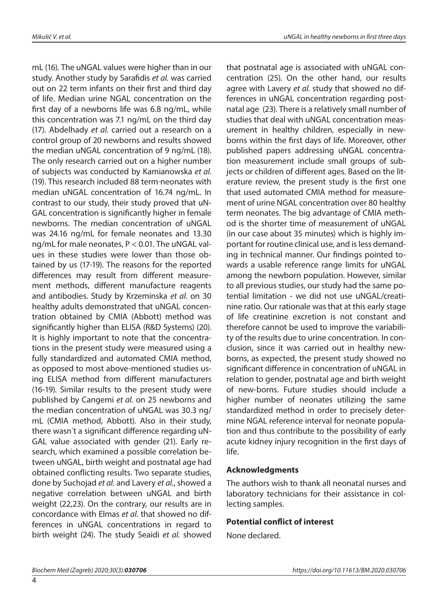mL (16). The uNGAL values were higher than in our study. Another study by Sarafidis *et al.* was carried out on 22 term infants on their first and third day of life. Median urine NGAL concentration on the first day of a newborns life was 6.8 ng/mL, while this concentration was 7.1 ng/mL on the third day (17). Abdelhady *et al.* carried out a research on a control group of 20 newborns and results showed the median uNGAL concentration of 9 ng/mL (18). The only research carried out on a higher number of subjects was conducted by Kamianowska *et al*. (19). This research included 88 term neonates with median uNGAL concentration of 16.74 ng/mL. In contrast to our study, their study proved that uN-GAL concentration is significantly higher in female newborns. The median concentration of uNGAL was 24.16 ng/mL for female neonates and 13.30 ng/mL for male neonates, P < 0.01. The uNGAL values in these studies were lower than those obtained by us (17-19). The reasons for the reported differences may result from different measurement methods, different manufacture reagents and antibodies. Study by Krzeminska *et al*. on 30 healthy adults demonstrated that uNGAL concentration obtained by CMIA (Abbott) method was significantly higher than ELISA (R&D Systems) (20). It is highly important to note that the concentrations in the present study were measured using a fully standardized and automated CMIA method, as opposed to most above-mentioned studies using ELISA method from different manufacturers (16-19). Similar results to the present study were published by Cangemi *et al.* on 25 newborns and the median concentration of uNGAL was 30.3 ng/ mL (CMIA method, Abbott). Also in their study, there wasn´t a significant difference regarding uN-GAL value associated with gender (21). Early research, which examined a possible correlation between uNGAL, birth weight and postnatal age had obtained conflicting results. Two separate studies, done by Suchojad *et al.* and Lavery *et al.*, showed a negative correlation between uNGAL and birth weight (22,23). On the contrary, our results are in concordance with Elmas *et al.* that showed no differences in uNGAL concentrations in regard to birth weight (24). The study Seaidi *et al.* showed that postnatal age is associated with uNGAL concentration (25). On the other hand, our results agree with Lavery *et al.* study that showed no differences in uNGAL concentration regarding postnatal age (23). There is a relatively small number of studies that deal with uNGAL concentration measurement in healthy children, especially in newborns within the first days of life. Moreover, other published papers addressing uNGAL concentration measurement include small groups of subjects or children of different ages. Based on the literature review, the present study is the first one that used automated CMIA method for measurement of urine NGAL concentration over 80 healthy term neonates. The big advantage of CMIA method is the shorter time of measurement of uNGAL (in our case about 35 minutes) which is highly important for routine clinical use, and is less demanding in technical manner. Our findings pointed towards a usable reference range limits for uNGAL among the newborn population. However, similar to all previous studies, our study had the same potential limitation - we did not use uNGAL/creatinine ratio. Our rationale was that at this early stage of life creatinine excretion is not constant and therefore cannot be used to improve the variability of the results due to urine concentration. In conclusion, since it was carried out in healthy newborns, as expected, the present study showed no significant difference in concentration of uNGAL in relation to gender, postnatal age and birth weight of new-borns. Future studies should include a higher number of neonates utilizing the same standardized method in order to precisely determine NGAL reference interval for neonate population and thus contribute to the possibility of early acute kidney injury recognition in the first days of life.

#### **Acknowledgments**

The authors wish to thank all neonatal nurses and laboratory technicians for their assistance in collecting samples.

#### **Potential conflict of interest**

None declared.